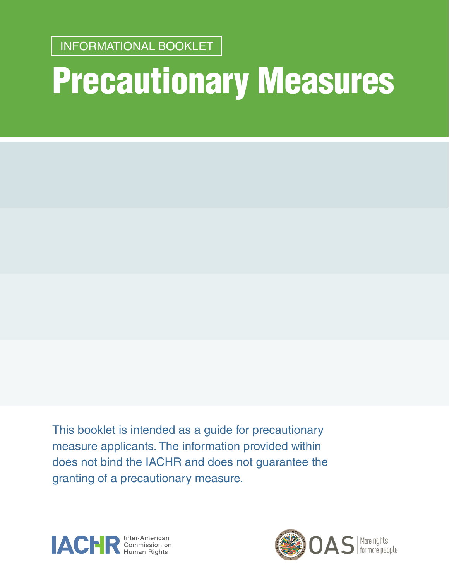Precautionary Measures INFORMATIONAL BOOKLET <sup>1</sup> INFORMATIONAL BOOKLET

# Precautionary Measures

This booklet is intended as a guide for precautionary measure applicants. The information provided within does not bind the IACHR and does not guarantee the granting of a precautionary measure.



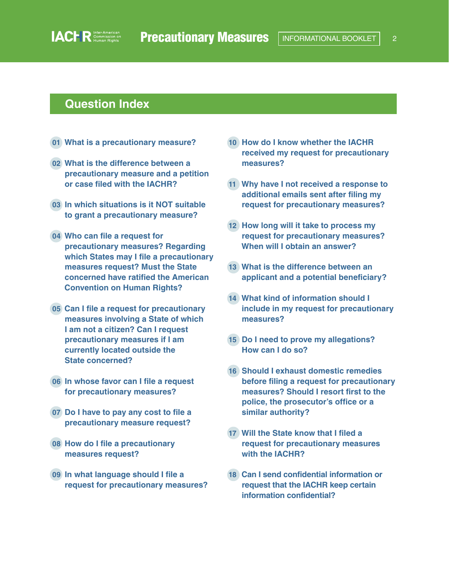#### **Question Index**

- **01 [What is a precautionary measure?](#page-3-0)**
- **02 [What is the difference between a](#page-3-0)  [precautionary measure and a petition](#page-3-0) [or case filed with the IACHR?](#page-3-0)**
- **03 [In which situations is it NOT suitable](#page-5-0) [to grant a precautionary measure?](#page-5-0)**
- **04 [Who can file a request for](#page-6-0) [precautionary measures? Regarding](#page-6-0)  [which States may I file a precautionary](#page-6-0)  [measures request? Must the State](#page-6-0)  [concerned have ratified the American](#page-6-0)  [Convention on Human Rights?](#page-6-0)**
- **05 [Can I file a request for precautionary](#page-6-0)  [measures involving a State of which](#page-6-0)  [I am not a citizen? Can I request](#page-6-0)  [precautionary measures if I am](#page-6-0)  [currently located outside the](#page-6-0) [State concerned?](#page-6-0)**
- **06 In whose favor can I file a request for precautionary measure[s?](#page-7-0)**
- **07 [Do I have to pay any cost to file a](#page-7-0)  [precautionary measure request?](#page-7-0)**
- **08 [How do I file a precautionary](#page-8-0) [measures request?](#page-8-0)**
- **09 [In what language should I file a](#page-8-0) [request for precautionary measures?](#page-8-0)**
- **10 [How do I know whether the IACHR](#page-9-0)  [received my request for precautionary](#page-9-0)  [measures?](#page-9-0)**
- **11 [Why have I not received a response to](#page-9-0)  [additional emails sent after filing my](#page-9-0)  [request for precautionary measures?](#page-9-0)**
- **12 [How long will it take to process my](#page-9-0)  [request for precautionary measures?](#page-9-0)  [When will I obtain an answer?](#page-9-0)**
- **13 [What is the difference between an](#page-10-0)  [applicant and a potential beneficiary?](#page-10-0)**
- **14 [What kind of information should I](#page-11-0)  [include in my request for precautionary](#page-11-0)  [measures?](#page-11-0)**
- **15 [Do I need to prove my allegations?](#page-13-0) [How can I do so?](#page-13-0)**
- **16 [Should I exhaust domestic remedies](#page-13-0)  [before filing a request for precautionary](#page-13-0)  [measures? Should I resort first to the](#page-13-0)  [police, the prosecutor's office or a](#page-13-0)  [similar authority?](#page-13-0)**
- **17 [Will the State know that I filed a](#page-14-0) [request for precautionary measures](#page-14-0)  [with the IACHR?](#page-14-0)**
- **18 [Can I send confidential information or](#page-14-0)  [request that the IACHR keep certain](#page-14-0)  [information confidential?](#page-14-0)**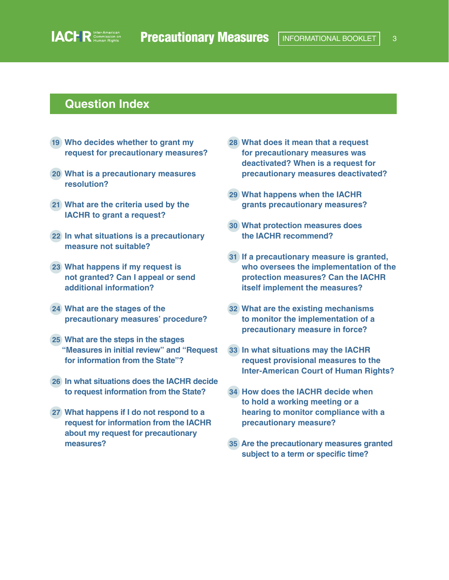#### **Question Index**

- **19 [Who decides whether to grant my](#page-15-0)  [request for precautionary measures?](#page-15-0)**
- **20 [What is a precautionary measures](#page-16-0)  [resolution?](#page-16-0)**
- **21 [What are the criteria used by the](#page-16-0) [IACHR to grant a request?](#page-16-0)**
- **22 [In what situations is a precautionary](#page-18-0)  [measure not suitable?](#page-18-0)**
- **23 [What happens if my request is](#page-19-0)  [not granted? Can I appeal or send](#page-19-0)  [additional information?](#page-19-0)**
- **24 [What are the stages of the](#page-21-0)  [precautionary measures' procedure?](#page-21-0)**
- **25 [What are the steps in the stages](#page-21-0)  ["Measures in initial review" and "Request](#page-21-0)  [for information from the State"?](#page-21-0)**
- **26 [In what situations does the IACHR decide](#page-22-0)  [to request information from the State?](#page-22-0)**
- **27 [What happens if I do not respond to a](#page-23-0)  [request for information from the IACHR](#page-23-0)  [about my request for precautionary](#page-23-0)  [measures?](#page-23-0)**
- **28 [What does it mean that a request](#page-23-0)  [for precautionary measures was](#page-23-0)  [deactivated? When is a request for](#page-23-0)  [precautionary measures deactivated?](#page-23-0)**
- **29 [What happens when the IACHR](#page-24-0) [grants precautionary measures?](#page-24-0)**
- **30 [What protection measures does](#page-25-0) [the IACHR recommend?](#page-25-0)**
- **31 [If a precautionary measure is granted,](#page-26-0)  [who oversees the implementation of the](#page-26-0)  [protection measures? Can the IACHR](#page-26-0)  [itself implement the measures?](#page-26-0)**
- **32 [What are the existing mechanisms](#page-26-0)  [to monitor the implementation of a](#page-26-0)  [precautionary measure in force?](#page-26-0)**
- **33 [In what situations may the IACHR](#page-28-0)  [request provisional measures to the](#page-28-0)  [Inter-American Court of Human Rights?](#page-28-0)**
- **34 [How does the IACHR decide when](#page-28-0)  [to hold a working meeting or a](#page-28-0)  [hearing to monitor compliance with a](#page-28-0)  [precautionary measure?](#page-28-0)**
- **35 [Are the precautionary measures granted](#page-29-0)  [subject to a term or specific time?](#page-29-0)**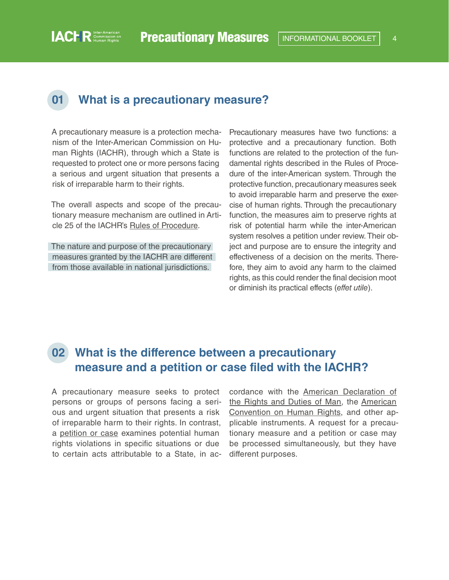#### **01 What is a precautionary measure?**

A precautionary measure is a protection mechanism of the Inter-American Commission on Human Rights (IACHR), through which a State is requested to protect one or more persons facing a serious and urgent situation that presents a risk of irreparable harm to their rights.

<span id="page-3-0"></span>**IACHR** Commission on

The overall aspects and scope of the precautionary measure mechanism are outlined in Article 25 of the IACHR's [Rules of Procedure.](http://www.oas.org/en/iachr/mandate/Basics/rulesiachr.asp)

The nature and purpose of the precautionary measures granted by the IACHR are different from those available in national jurisdictions.

Precautionary measures have two functions: a protective and a precautionary function. Both functions are related to the protection of the fundamental rights described in the Rules of Procedure of the inter-American system. Through the protective function, precautionary measures seek to avoid irreparable harm and preserve the exercise of human rights. Through the precautionary function, the measures aim to preserve rights at risk of potential harm while the inter-American system resolves a petition under review. Their object and purpose are to ensure the integrity and effectiveness of a decision on the merits. Therefore, they aim to avoid any harm to the claimed rights, as this could render the final decision moot or diminish its practical effects (*effet utile*).

#### **02 What is the difference between a precautionary measure and a petition or case filed with the IACHR?**

A precautionary measure seeks to protect persons or groups of persons facing a serious and urgent situation that presents a risk of irreparable harm to their rights. In contrast, a [petition or case](http://www.oas.org/en/iachr/mandate/petitions.asp) examines potential human rights violations in specific situations or due to certain acts attributable to a State, in accordance with the [American Declaration of](http://www.oas.org/en/iachr/mandate/Basics/declaration.asp)  [the Rights and Duties of Man](http://www.oas.org/en/iachr/mandate/Basics/declaration.asp), the [American](https://www.cidh.oas.org/basicos/english/basic3.american convention.htm)  [Convention on Human Rights,](https://www.cidh.oas.org/basicos/english/basic3.american convention.htm) and other applicable instruments. A request for a precautionary measure and a petition or case may be processed simultaneously, but they have different purposes.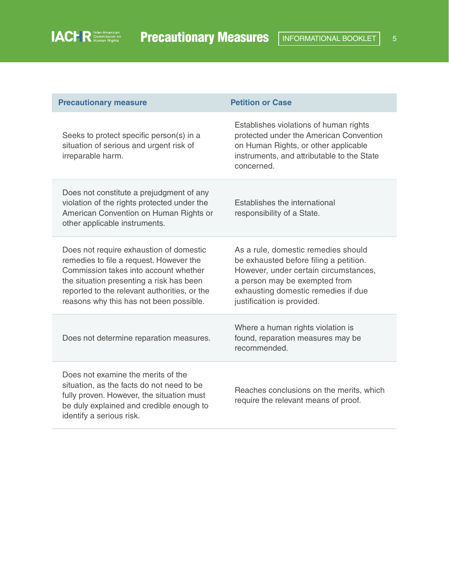| <b>Precautionary measure</b>                                                                                                                                                                                                                                       | <b>Petition or Case</b>                                                                                                                                                                                                      |
|--------------------------------------------------------------------------------------------------------------------------------------------------------------------------------------------------------------------------------------------------------------------|------------------------------------------------------------------------------------------------------------------------------------------------------------------------------------------------------------------------------|
| Seeks to protect specific person(s) in a<br>situation of serious and urgent risk of<br>irreparable harm.                                                                                                                                                           | Establishes violations of human rights<br>protected under the American Convention<br>on Human Rights, or other applicable<br>instruments, and attributable to the State<br>concerned.                                        |
| Does not constitute a prejudgment of any<br>violation of the rights protected under the<br>American Convention on Human Rights or<br>other applicable instruments.                                                                                                 | Establishes the international<br>responsibility of a State.                                                                                                                                                                  |
| Does not require exhaustion of domestic<br>remedies to file a request. However the<br>Commission takes into account whether<br>the situation presenting a risk has been<br>reported to the relevant authorities, or the<br>reasons why this has not been possible. | As a rule, domestic remedies should<br>be exhausted before filing a petition.<br>However, under certain circumstances,<br>a person may be exempted from<br>exhausting domestic remedies if due<br>justification is provided. |
| Does not determine reparation measures.                                                                                                                                                                                                                            | Where a human rights violation is<br>found, reparation measures may be<br>recommended.                                                                                                                                       |
| Does not examine the merits of the<br>situation, as the facts do not need to be<br>fully proven. However, the situation must<br>be duly explained and credible enough to<br>identify a serious risk.                                                               | Reaches conclusions on the merits, which<br>require the relevant means of proof.                                                                                                                                             |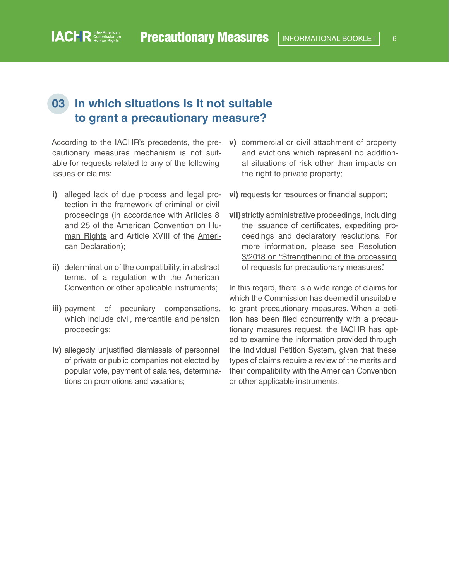## <span id="page-5-0"></span>**03 In which situations is it not suitable to grant a precautionary measure?**

According to the IACHR's precedents, the precautionary measures mechanism is not suitable for requests related to any of the following issues or claims:

- **i)** alleged lack of due process and legal protection in the framework of criminal or civil proceedings (in accordance with Articles 8 and 25 of the [American Convention on Hu](https://www.cidh.oas.org/basicos/english/basic3.american convention.htm)[man Rights](https://www.cidh.oas.org/basicos/english/basic3.american convention.htm) and Article XVIII of the [Ameri](http://www.oas.org/en/iachr/mandate/Basics/declaration.asp)[can Declaration\)](http://www.oas.org/en/iachr/mandate/Basics/declaration.asp);
- **ii)** determination of the compatibility, in abstract terms, of a regulation with the American Convention or other applicable instruments;
- **iii)** payment of pecuniary compensations, which include civil, mercantile and pension proceedings;
- **iv)** allegedly unjustified dismissals of personnel of private or public companies not elected by popular vote, payment of salaries, determinations on promotions and vacations;
- **v)** commercial or civil attachment of property and evictions which represent no additional situations of risk other than impacts on the right to private property;
- **vi)** requests for resources or financial support;
- **vii)**strictly administrative proceedings, including the issuance of certificates, expediting proceedings and declaratory resolutions. For more information, please see [Resolution](https://www.oas.org/en/iachr/decisions/pdf/Resolution-3-18-en.pdf)  [3/2018 on "Strengthening of the processing](https://www.oas.org/en/iachr/decisions/pdf/Resolution-3-18-en.pdf)  [of requests for precautionary measures".](https://www.oas.org/en/iachr/decisions/pdf/Resolution-3-18-en.pdf)

In this regard, there is a wide range of claims for which the Commission has deemed it unsuitable to grant precautionary measures. When a petition has been filed concurrently with a precautionary measures request, the IACHR has opted to examine the information provided through the Individual Petition System, given that these types of claims require a review of the merits and their compatibility with the American Convention or other applicable instruments.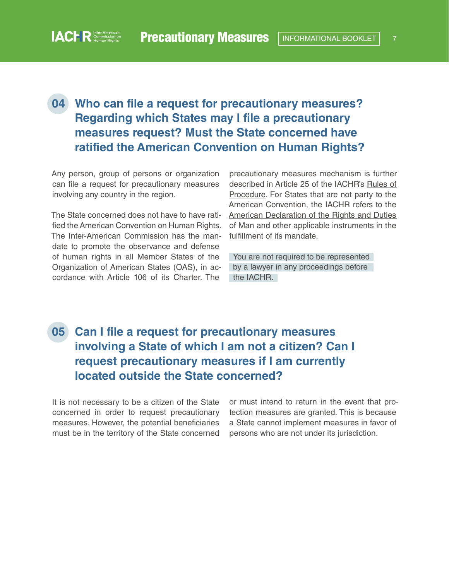# <span id="page-6-0"></span>**04 Who can file a request for precautionary measures? Regarding which States may I file a precautionary measures request? Must the State concerned have ratified the American Convention on Human Rights?**

Any person, group of persons or organization can file a request for precautionary measures involving any country in the region.

The State concerned does not have to have ratified the [American Convention on Human Rights](https://www.cidh.oas.org/basicos/english/basic3.american convention.htm). The Inter-American Commission has the mandate to promote the observance and defense of human rights in all Member States of the Organization of American States (OAS), in accordance with Article 106 of its Charter. The

precautionary measures mechanism is further described in Article 25 of the IACHR's [Rules of](http://www.oas.org/en/iachr/mandate/Basics/rulesiachr.asp)  [Procedure](http://www.oas.org/en/iachr/mandate/Basics/rulesiachr.asp). For States that are not party to the American Convention, the IACHR refers to the [American Declaration of the Rights and Duties](http://www.oas.org/en/iachr/mandate/Basics/declaration.asp)  [of Man](http://www.oas.org/en/iachr/mandate/Basics/declaration.asp) and other applicable instruments in the fulfillment of its mandate.

You are not required to be represented by a lawyer in any proceedings before the IACHR.

# **05 Can I file a request for precautionary measures involving a State of which I am not a citizen? Can I request precautionary measures if I am currently located outside the State concerned?**

It is not necessary to be a citizen of the State concerned in order to request precautionary measures. However, the potential beneficiaries must be in the territory of the State concerned or must intend to return in the event that protection measures are granted. This is because a State cannot implement measures in favor of persons who are not under its jurisdiction.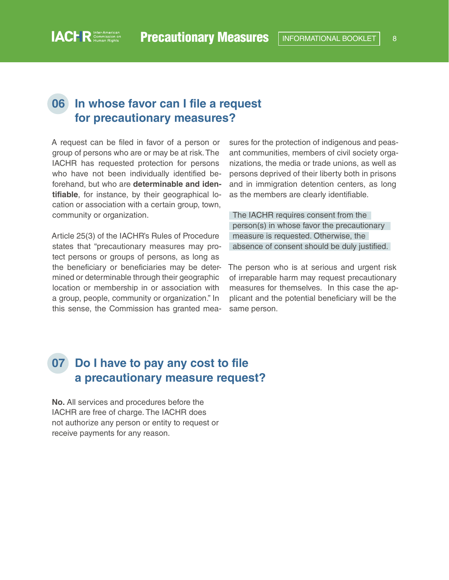#### <span id="page-7-0"></span>**06 In whose favor can I file a request for precautionary measures?**

A request can be filed in favor of a person or group of persons who are or may be at risk. The IACHR has requested protection for persons who have not been individually identified beforehand, but who are **determinable and identifiable**, for instance, by their geographical location or association with a certain group, town, community or organization.

Article 25(3) of the IACHR's Rules of Procedure states that "precautionary measures may protect persons or groups of persons, as long as the beneficiary or beneficiaries may be determined or determinable through their geographic location or membership in or association with a group, people, community or organization." In this sense, the Commission has granted measures for the protection of indigenous and peasant communities, members of civil society organizations, the media or trade unions, as well as persons deprived of their liberty both in prisons and in immigration detention centers, as long as the members are clearly identifiable.

The IACHR requires consent from the person(s) in whose favor the precautionary measure is requested. Otherwise, the absence of consent should be duly justified.

The person who is at serious and urgent risk of irreparable harm may request precautionary measures for themselves. In this case the applicant and the potential beneficiary will be the same person.

### **07 Do I have to pay any cost to file a precautionary measure request?**

**No.** All services and procedures before the IACHR are free of charge. The IACHR does not authorize any person or entity to request or receive payments for any reason.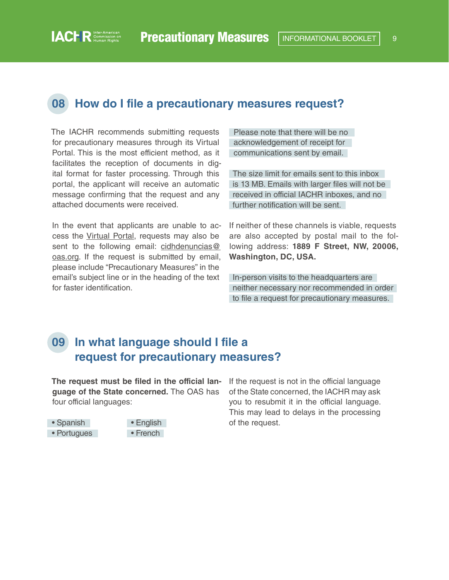#### <span id="page-8-0"></span>**08 How do I file a precautionary measures request?**

The IACHR recommends submitting requests for precautionary measures through its Virtual Portal. This is the most efficient method, as it facilitates the reception of documents in digital format for faster processing. Through this portal, the applicant will receive an automatic message confirming that the request and any attached documents were received.

In the event that applicants are unable to access the [Virtual Portal,](https://www.oas.org/en/iachr/portal/) requests may also be sent to the following email: [cidhdenuncias@](mailto:cidhdenuncias%40oas.org?subject=) [oas.org](mailto:cidhdenuncias%40oas.org?subject=). If the request is submitted by email, please include "Precautionary Measures" in the email's subject line or in the heading of the text for faster identification.

Please note that there will be no acknowledgement of receipt for communications sent by email.

The size limit for emails sent to this inbox is 13 MB. Emails with larger files will not be received in official IACHR inboxes, and no further notification will be sent.

If neither of these channels is viable, requests are also accepted by postal mail to the following address: **1889 F Street, NW, 20006, Washington, DC, USA.**

In-person visits to the headquarters are neither necessary nor recommended in order to file a request for precautionary measures.

## **09 In what language should I file a request for precautionary measures?**

**The request must be filed in the official language of the State concerned.** The OAS has four official languages:



If the request is not in the official language of the State concerned, the IACHR may ask you to resubmit it in the official language. This may lead to delays in the processing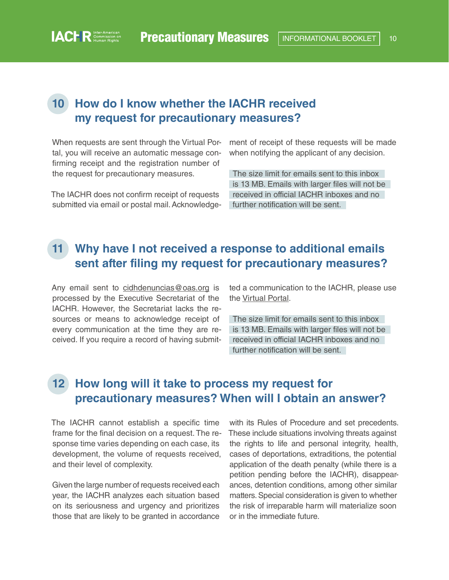## <span id="page-9-0"></span>**10 How do I know whether the IACHR received my request for precautionary measures?**

When requests are sent through the Virtual Portal, you will receive an automatic message confirming receipt and the registration number of the request for precautionary measures.

The IACHR does not confirm receipt of requests submitted via email or postal mail. Acknowledgement of receipt of these requests will be made when notifying the applicant of any decision.

The size limit for emails sent to this inbox is 13 MB. Emails with larger files will not be received in official IACHR inboxes and no further notification will be sent.

### **11 Why have I not received a response to additional emails sent after filing my request for precautionary measures?**

Any email sent to [cidhdenuncias@oas.org](mailto:cidhdenuncias%40oas.org?subject=) is processed by the Executive Secretariat of the IACHR. However, the Secretariat lacks the resources or means to acknowledge receipt of every communication at the time they are received. If you require a record of having submitted a communication to the IACHR, please use the [Virtual Portal.](https://www.oas.org/en/iachr/portal/)

The size limit for emails sent to this inbox is 13 MB. Emails with larger files will not be received in official IACHR inboxes and no further notification will be sent.

# **12 How long will it take to process my request for precautionary measures? When will I obtain an answer?**

The IACHR cannot establish a specific time frame for the final decision on a request. The response time varies depending on each case, its development, the volume of requests received, and their level of complexity.

Given the large number of requests received each year, the IACHR analyzes each situation based on its seriousness and urgency and prioritizes those that are likely to be granted in accordance

with its Rules of Procedure and set precedents. These include situations involving threats against the rights to life and personal integrity, health, cases of deportations, extraditions, the potential application of the death penalty (while there is a petition pending before the IACHR), disappearances, detention conditions, among other similar matters. Special consideration is given to whether the risk of irreparable harm will materialize soon or in the immediate future.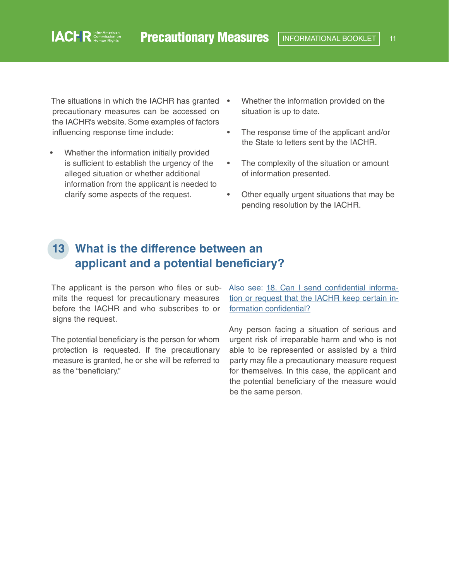<span id="page-10-0"></span>The situations in which the IACHR has granted • precautionary measures can be accessed on the IACHR's website. Some examples of factors influencing response time include:

- Whether the information initially provided is sufficient to establish the urgency of the alleged situation or whether additional information from the applicant is needed to clarify some aspects of the request.
- Whether the information provided on the situation is up to date.
- The response time of the applicant and/or the State to letters sent by the IACHR.
- The complexity of the situation or amount of information presented.
- Other equally urgent situations that may be pending resolution by the IACHR.

## **13 What is the difference between an applicant and a potential beneficiary?**

mits the request for precautionary measures before the IACHR and who subscribes to or signs the request.

The potential beneficiary is the person for whom protection is requested. If the precautionary measure is granted, he or she will be referred to as the "beneficiary."

The applicant is the person who files or sub- Also see: [18. Can I send confidential informa](#page-14-0)[tion or request that the IACHR keep certain in](#page-14-0)[formation confidential?](#page-14-0)

> Any person facing a situation of serious and urgent risk of irreparable harm and who is not able to be represented or assisted by a third party may file a precautionary measure request for themselves. In this case, the applicant and the potential beneficiary of the measure would be the same person.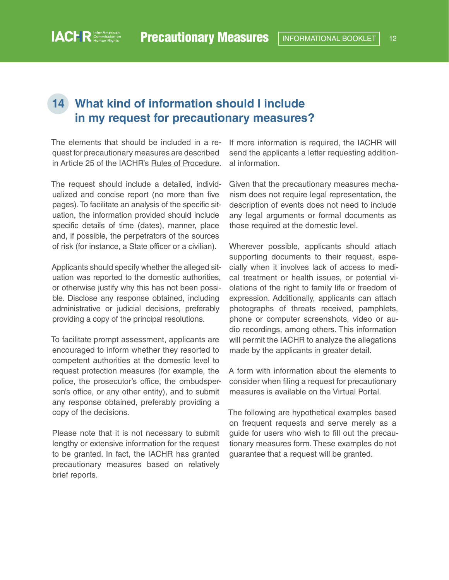## <span id="page-11-0"></span>**14 What kind of information should I include in my request for precautionary measures?**

The elements that should be included in a request for precautionary measures are described in Article 25 of the IACHR's [Rules of Procedure.](http://www.oas.org/en/iachr/mandate/Basics/rulesiachr.asp)

The request should include a detailed, individualized and concise report (no more than five pages). To facilitate an analysis of the specific situation, the information provided should include specific details of time (dates), manner, place and, if possible, the perpetrators of the sources of risk (for instance, a State officer or a civilian).

Applicants should specify whether the alleged situation was reported to the domestic authorities, or otherwise justify why this has not been possible. Disclose any response obtained, including administrative or judicial decisions, preferably providing a copy of the principal resolutions.

To facilitate prompt assessment, applicants are encouraged to inform whether they resorted to competent authorities at the domestic level to request protection measures (for example, the police, the prosecutor's office, the ombudsperson's office, or any other entity), and to submit any response obtained, preferably providing a copy of the decisions.

Please note that it is not necessary to submit lengthy or extensive information for the request to be granted. In fact, the IACHR has granted precautionary measures based on relatively brief reports.

If more information is required, the IACHR will send the applicants a letter requesting additional information.

Given that the precautionary measures mechanism does not require legal representation, the description of events does not need to include any legal arguments or formal documents as those required at the domestic level.

Wherever possible, applicants should attach supporting documents to their request, especially when it involves lack of access to medical treatment or health issues, or potential violations of the right to family life or freedom of expression. Additionally, applicants can attach photographs of threats received, pamphlets, phone or computer screenshots, video or audio recordings, among others. This information will permit the IACHR to analyze the allegations made by the applicants in greater detail.

A form with information about the elements to consider when filing a request for precautionary measures is available on the Virtual Portal.

The following are hypothetical examples based on frequent requests and serve merely as a guide for users who wish to fill out the precautionary measures form. These examples do not guarantee that a request will be granted.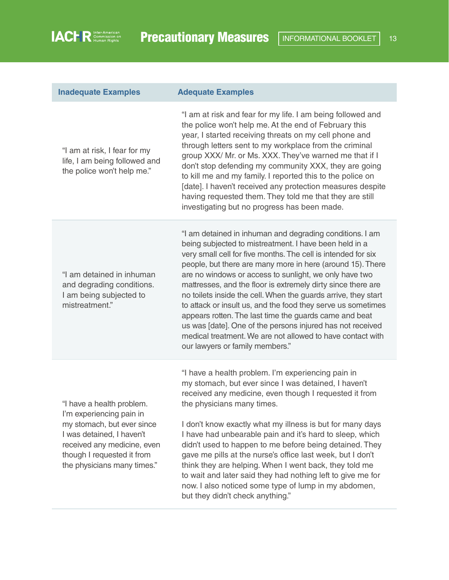| <b>Inadequate Examples</b>                                                                                                                                                                                   | <b>Adequate Examples</b>                                                                                                                                                                                                                                                                                                                                                                                                                                                                                                                                                                                                                                                                                                               |
|--------------------------------------------------------------------------------------------------------------------------------------------------------------------------------------------------------------|----------------------------------------------------------------------------------------------------------------------------------------------------------------------------------------------------------------------------------------------------------------------------------------------------------------------------------------------------------------------------------------------------------------------------------------------------------------------------------------------------------------------------------------------------------------------------------------------------------------------------------------------------------------------------------------------------------------------------------------|
| "I am at risk, I fear for my<br>life, I am being followed and<br>the police won't help me."                                                                                                                  | "I am at risk and fear for my life. I am being followed and<br>the police won't help me. At the end of February this<br>year, I started receiving threats on my cell phone and<br>through letters sent to my workplace from the criminal<br>group XXX/ Mr. or Ms. XXX. They've warned me that if I<br>don't stop defending my community XXX, they are going<br>to kill me and my family. I reported this to the police on<br>[date]. I haven't received any protection measures despite<br>having requested them. They told me that they are still<br>investigating but no progress has been made.                                                                                                                                     |
| "I am detained in inhuman<br>and degrading conditions.<br>I am being subjected to<br>mistreatment."                                                                                                          | "I am detained in inhuman and degrading conditions. I am<br>being subjected to mistreatment. I have been held in a<br>very small cell for five months. The cell is intended for six<br>people, but there are many more in here (around 15). There<br>are no windows or access to sunlight, we only have two<br>mattresses, and the floor is extremely dirty since there are<br>no toilets inside the cell. When the guards arrive, they start<br>to attack or insult us, and the food they serve us sometimes<br>appears rotten. The last time the guards came and beat<br>us was [date]. One of the persons injured has not received<br>medical treatment. We are not allowed to have contact with<br>our lawyers or family members." |
| "I have a health problem.<br>I'm experiencing pain in<br>my stomach, but ever since<br>I was detained, I haven't<br>received any medicine, even<br>though I requested it from<br>the physicians many times." | "I have a health problem. I'm experiencing pain in<br>my stomach, but ever since I was detained, I haven't<br>received any medicine, even though I requested it from<br>the physicians many times.<br>I don't know exactly what my illness is but for many days<br>I have had unbearable pain and it's hard to sleep, which<br>didn't used to happen to me before being detained. They<br>gave me pills at the nurse's office last week, but I don't<br>think they are helping. When I went back, they told me<br>to wait and later said they had nothing left to give me for<br>now. I also noticed some type of lump in my abdomen,<br>but they didn't check anything."                                                              |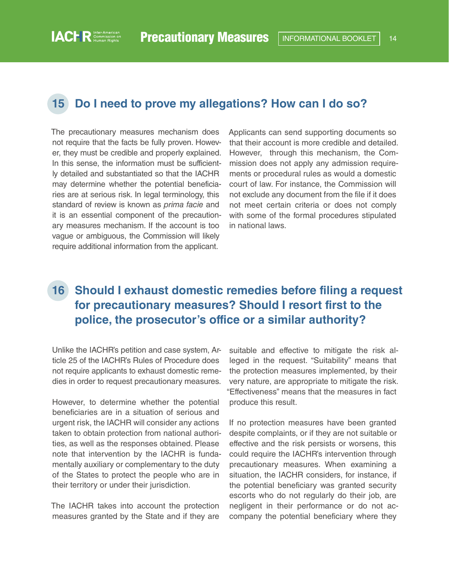#### <span id="page-13-0"></span>**15 Do I need to prove my allegations? How can I do so?**

The precautionary measures mechanism does not require that the facts be fully proven. However, they must be credible and properly explained. In this sense, the information must be sufficiently detailed and substantiated so that the IACHR may determine whether the potential beneficiaries are at serious risk. In legal terminology, this standard of review is known as *prima facie* and it is an essential component of the precautionary measures mechanism. If the account is too vague or ambiguous, the Commission will likely require additional information from the applicant.

Applicants can send supporting documents so that their account is more credible and detailed. However, through this mechanism, the Commission does not apply any admission requirements or procedural rules as would a domestic court of law. For instance, the Commission will not exclude any document from the file if it does not meet certain criteria or does not comply with some of the formal procedures stipulated in national laws.

## **16 Should I exhaust domestic remedies before filing a request for precautionary measures? Should I resort first to the police, the prosecutor's office or a similar authority?**

Unlike the IACHR's petition and case system, Article 25 of the IACHR's Rules of Procedure does not require applicants to exhaust domestic remedies in order to request precautionary measures.

However, to determine whether the potential beneficiaries are in a situation of serious and urgent risk, the IACHR will consider any actions taken to obtain protection from national authorities, as well as the responses obtained. Please note that intervention by the IACHR is fundamentally auxiliary or complementary to the duty of the States to protect the people who are in their territory or under their jurisdiction.

The IACHR takes into account the protection measures granted by the State and if they are

suitable and effective to mitigate the risk alleged in the request. "Suitability" means that the protection measures implemented, by their very nature, are appropriate to mitigate the risk. "Effectiveness" means that the measures in fact produce this result.

If no protection measures have been granted despite complaints, or if they are not suitable or effective and the risk persists or worsens, this could require the IACHR's intervention through precautionary measures. When examining a situation, the IACHR considers, for instance, if the potential beneficiary was granted security escorts who do not regularly do their job, are negligent in their performance or do not accompany the potential beneficiary where they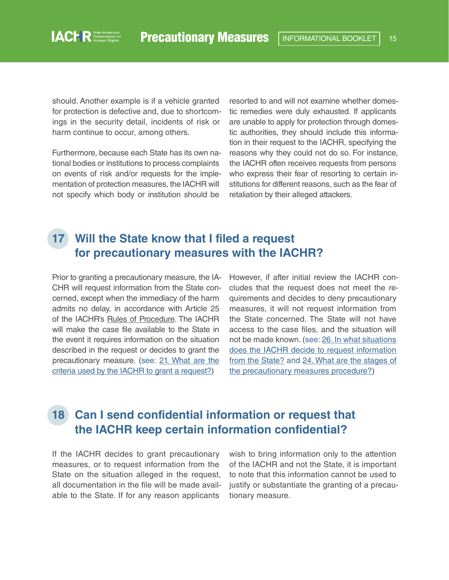<span id="page-14-0"></span>should. Another example is if a vehicle granted for protection is defective and, due to shortcomings in the security detail, incidents of risk or harm continue to occur, among others.

Furthermore, because each State has its own national bodies or institutions to process complaints on events of risk and/or requests for the implementation of protection measures, the IACHR will not specify which body or institution should be

resorted to and will not examine whether domestic remedies were duly exhausted. If applicants are unable to apply for protection through domestic authorities, they should include this information in their request to the IACHR, specifying the reasons why they could not do so. For instance, the IACHR often receives requests from persons who express their fear of resorting to certain institutions for different reasons, such as the fear of retaliation by their alleged attackers.

## **17 Will the State know that I filed a request for precautionary measures with the IACHR?**

Prior to granting a precautionary measure, the IA-CHR will request information from the State concerned, except when the immediacy of the harm admits no delay, in accordance with Article 25 of the IACHR's [Rules of Procedure](http://www.oas.org/en/iachr/mandate/Basics/rulesiachr.asp). The IACHR will make the case file available to the State in the event it requires information on the situation described in the request or decides to grant the precautionary measure. (see[: 21. What are the](#page-16-0)  [criteria used by the IACHR to grant a request?](#page-16-0))

However, if after initial review the IACHR concludes that the request does not meet the requirements and decides to deny precautionary measures, it will not request information from the State concerned. The State will not have access to the case files, and the situation will not be made known. (see: [26. In what situations](#page-22-0)  [does the IACHR decide to request information](#page-22-0)  [from the State?](#page-22-0) and [24. What are the stages of](#page-21-0)  [the precautionary measures procedure?](#page-21-0))

### **18 Can I send confidential information or request that the IACHR keep certain information confidential?**

If the IACHR decides to grant precautionary measures, or to request information from the State on the situation alleged in the request, all documentation in the file will be made available to the State. If for any reason applicants

wish to bring information only to the attention of the IACHR and not the State, it is important to note that this information cannot be used to justify or substantiate the granting of a precautionary measure.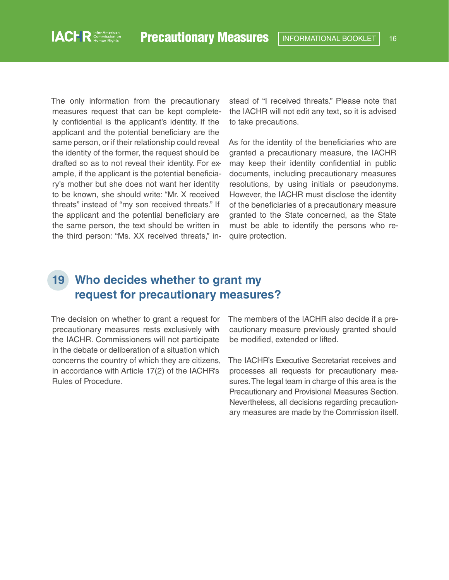<span id="page-15-0"></span>The only information from the precautionary measures request that can be kept completely confidential is the applicant's identity. If the applicant and the potential beneficiary are the same person, or if their relationship could reveal the identity of the former, the request should be drafted so as to not reveal their identity. For example, if the applicant is the potential beneficiary's mother but she does not want her identity to be known, she should write: "Mr. X received threats" instead of "my son received threats." If the applicant and the potential beneficiary are the same person, the text should be written in the third person: "Ms. XX received threats," instead of "I received threats." Please note that the IACHR will not edit any text, so it is advised to take precautions.

As for the identity of the beneficiaries who are granted a precautionary measure, the IACHR may keep their identity confidential in public documents, including precautionary measures resolutions, by using initials or pseudonyms. However, the IACHR must disclose the identity of the beneficiaries of a precautionary measure granted to the State concerned, as the State must be able to identify the persons who require protection.

#### **19 Who decides whether to grant my request for precautionary measures?**

The decision on whether to grant a request for precautionary measures rests exclusively with the IACHR. Commissioners will not participate in the debate or deliberation of a situation which concerns the country of which they are citizens, in accordance with Article 17(2) of the IACHR's [Rules of Procedure.](http://www.oas.org/en/iachr/mandate/Basics/rulesiachr.asp)

The members of the IACHR also decide if a precautionary measure previously granted should be modified, extended or lifted.

The IACHR's Executive Secretariat receives and processes all requests for precautionary measures. The legal team in charge of this area is the Precautionary and Provisional Measures Section. Nevertheless, all decisions regarding precautionary measures are made by the Commission itself.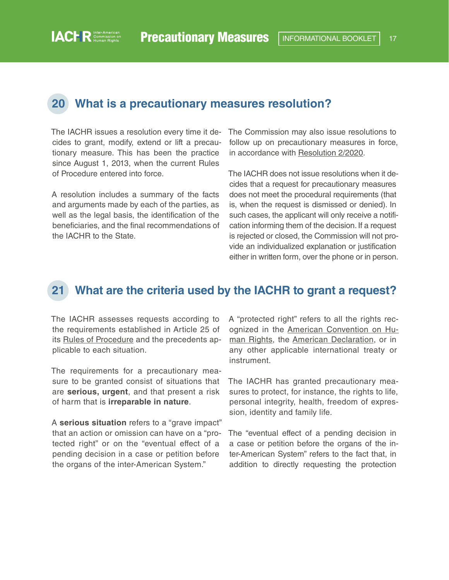#### <span id="page-16-0"></span>**20 What is a precautionary measures resolution?**

The IACHR issues a resolution every time it decides to grant, modify, extend or lift a precautionary measure. This has been the practice since August 1, 2013, when the current Rules of Procedure entered into force.

A resolution includes a summary of the facts and arguments made by each of the parties, as well as the legal basis, the identification of the beneficiaries, and the final recommendations of the IACHR to the State.

The Commission may also issue resolutions to follow up on precautionary measures in force, in accordance with [Resolution 2/2020](http://www.oas.org/en/iachr/mandate/Basics/rulesiachr.asp).

The IACHR does not issue resolutions when it decides that a request for precautionary measures does not meet the procedural requirements (that is, when the request is dismissed or denied). In such cases, the applicant will only receive a notification informing them of the decision. If a request is rejected or closed, the Commission will not provide an individualized explanation or justification either in written form, over the phone or in person.

#### **21 What are the criteria used by the IACHR to grant a request?**

The IACHR assesses requests according to the requirements established in Article 25 of its [Rules of Procedure](http://www.oas.org/en/iachr/mandate/Basics/rulesiachr.asp) and the precedents applicable to each situation.

The requirements for a precautionary measure to be granted consist of situations that are **serious, urgent**, and that present a risk of harm that is **irreparable in nature**.

A **serious situation** refers to a "grave impact" that an action or omission can have on a "protected right" or on the "eventual effect of a pending decision in a case or petition before the organs of the inter-American System."

A "protected right" refers to all the rights rec-ognized in the [American Convention on Hu](https://www.cidh.oas.org/basicos/english/basic3.american convention.htm)[man Rights,](https://www.cidh.oas.org/basicos/english/basic3.american convention.htm) the [American Declaration,](http://www.oas.org/en/iachr/mandate/Basics/declaration.asp) or in any other applicable international treaty or instrument.

The IACHR has granted precautionary measures to protect, for instance, the rights to life, personal integrity, health, freedom of expression, identity and family life.

The "eventual effect of a pending decision in a case or petition before the organs of the inter-American System" refers to the fact that, in addition to directly requesting the protection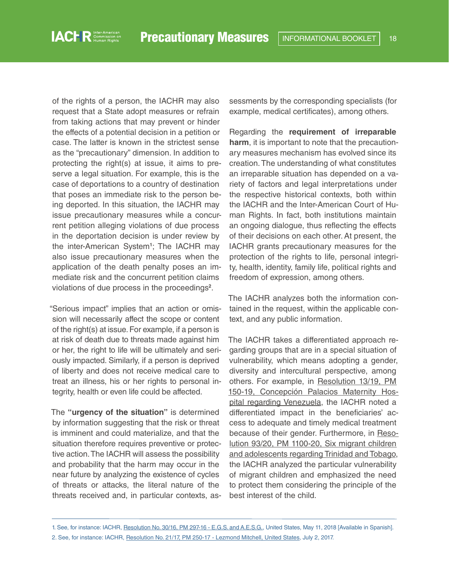of the rights of a person, the IACHR may also request that a State adopt measures or refrain from taking actions that may prevent or hinder the effects of a potential decision in a petition or case. The latter is known in the strictest sense as the "precautionary" dimension. In addition to protecting the right(s) at issue, it aims to preserve a legal situation. For example, this is the case of deportations to a country of destination that poses an immediate risk to the person being deported. In this situation, the IACHR may issue precautionary measures while a concurrent petition alleging violations of due process in the deportation decision is under review by the inter-American System**<sup>1</sup>** ; The IACHR may also issue precautionary measures when the application of the death penalty poses an immediate risk and the concurrent petition claims violations of due process in the proceedings**<sup>2</sup>** .

"Serious impact" implies that an action or omission will necessarily affect the scope or content of the right(s) at issue. For example, if a person is at risk of death due to threats made against him or her, the right to life will be ultimately and seriously impacted. Similarly, if a person is deprived of liberty and does not receive medical care to treat an illness, his or her rights to personal integrity, health or even life could be affected.

The **"urgency of the situation"** is determined by information suggesting that the risk or threat is imminent and could materialize, and that the situation therefore requires preventive or protective action. The IACHR will assess the possibility and probability that the harm may occur in the near future by analyzing the existence of cycles of threats or attacks, the literal nature of the threats received and, in particular contexts, assessments by the corresponding specialists (for example, medical certificates), among others.

Regarding the **requirement of irreparable harm**, it is important to note that the precautionary measures mechanism has evolved since its creation. The understanding of what constitutes an irreparable situation has depended on a variety of factors and legal interpretations under the respective historical contexts, both within the IACHR and the Inter-American Court of Human Rights. In fact, both institutions maintain an ongoing dialogue, thus reflecting the effects of their decisions on each other. At present, the IACHR grants precautionary measures for the protection of the rights to life, personal integrity, health, identity, family life, political rights and freedom of expression, among others.

The IACHR analyzes both the information contained in the request, within the applicable context, and any public information.

The IACHR takes a differentiated approach regarding groups that are in a special situation of vulnerability, which means adopting a gender, diversity and intercultural perspective, among others. For example, in [Resolution 13/19, PM](https://www.oas.org/es/cidh/decisiones/pdf/2019/13-19mc150-19-ve.pdf)  [150-19, Concepción Palacios Maternity Hos](https://www.oas.org/es/cidh/decisiones/pdf/2019/13-19mc150-19-ve.pdf)[pital regarding Venezuela,](https://www.oas.org/es/cidh/decisiones/pdf/2019/13-19mc150-19-ve.pdf) the IACHR noted a differentiated impact in the beneficiaries' access to adequate and timely medical treatment because of their gender. Furthermore, in [Reso](http://www.oas.org/en/iachr/decisions/pdf/2020/93-20MC1100-20-TT.pdf)[lution 93/20, PM 1100-20, Six migrant children](http://www.oas.org/en/iachr/decisions/pdf/2020/93-20MC1100-20-TT.pdf)  [and adolescents regarding Trinidad and Tobago,](http://www.oas.org/en/iachr/decisions/pdf/2020/93-20MC1100-20-TT.pdf) the IACHR analyzed the particular vulnerability of migrant children and emphasized the need to protect them considering the principle of the best interest of the child.

<sup>1.</sup> See, for instance: IACHR, [Resolution No. 30/16, PM 297-16 - E.G.S. and A.E.S.G.](https://www.oas.org/es/cidh/decisiones/pdf/2016/mc297-16-es.pdf), United States, May 11, 2018 [Available in Spanish]. 2. See, for instance: IACHR, [Resolution No. 21/17, PM 250-17 - Lezmond Mitchell, United States](https://www.oas.org/en/iachr/decisions/pdf/2017/21-17mc250-17-us-en.pdf), July 2, 2017.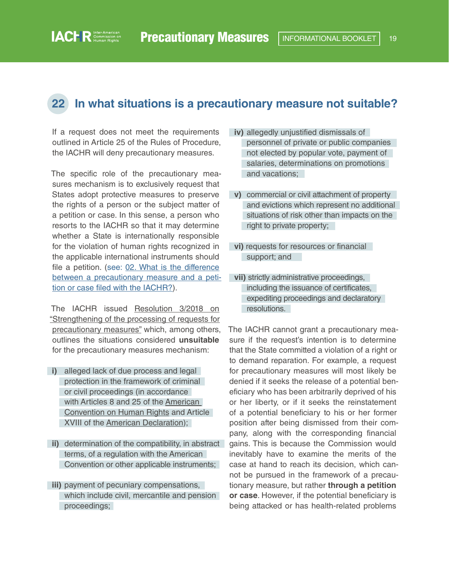#### **22 In what situations is a precautionary measure not suitable?**

If a request does not meet the requirements outlined in Article 25 of the Rules of Procedure, the IACHR will deny precautionary measures.

<span id="page-18-0"></span>**IACHR** Commission on

The specific role of the precautionary measures mechanism is to exclusively request that States adopt protective measures to preserve the rights of a person or the subject matter of a petition or case. In this sense, a person who resorts to the IACHR so that it may determine whether a State is internationally responsible for the violation of human rights recognized in the applicable international instruments should file a petition. (see: 02. What is the difference [between a precautionary measure and a peti](#page-3-0)[tion or case filed with the IACHR?](#page-3-0)).

The IACHR issued [Resolution 3/2018 on](https://www.oas.org/en/iachr/decisions/pdf/Resolution-3-18-en.pdf)  ["Strengthening of the processing of requests for](https://www.oas.org/en/iachr/decisions/pdf/Resolution-3-18-en.pdf)  [precautionary measures"](https://www.oas.org/en/iachr/decisions/pdf/Resolution-3-18-en.pdf) which, among others, outlines the situations considered **unsuitable** for the precautionary measures mechanism:

- **i)** alleged lack of due process and legal protection in the framework of criminal or civil proceedings (in accordance with Articles 8 and 25 of the [American](https://www.cidh.oas.org/basicos/english/basic3.american convention.htm)  [Convention on Human Rights](https://www.cidh.oas.org/basicos/english/basic3.american convention.htm) and Article XVIII of the [American Declaration](http://www.oas.org/en/iachr/mandate/Basics/declaration.asp));
- **ii)** determination of the compatibility, in abstract terms, of a regulation with the American Convention or other applicable instruments;
- **iii)** payment of pecuniary compensations, which include civil, mercantile and pension proceedings;
- **iv)** allegedly unjustified dismissals of personnel of private or public companies not elected by popular vote, payment of salaries, determinations on promotions and vacations;
- **v)** commercial or civil attachment of property and evictions which represent no additional situations of risk other than impacts on the right to private property;
- **vi)** requests for resources or financial support; and
- **vii)** strictly administrative proceedings, including the issuance of certificates, expediting proceedings and declaratory resolutions.

The IACHR cannot grant a precautionary measure if the request's intention is to determine that the State committed a violation of a right or to demand reparation. For example, a request for precautionary measures will most likely be denied if it seeks the release of a potential beneficiary who has been arbitrarily deprived of his or her liberty, or if it seeks the reinstatement of a potential beneficiary to his or her former position after being dismissed from their company, along with the corresponding financial gains. This is because the Commission would inevitably have to examine the merits of the case at hand to reach its decision, which cannot be pursued in the framework of a precautionary measure, but rather **through a petition or case**. However, if the potential beneficiary is being attacked or has health-related problems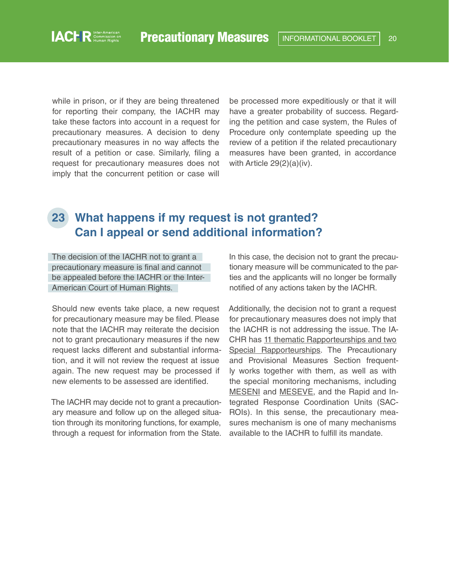<span id="page-19-0"></span>while in prison, or if they are being threatened for reporting their company, the IACHR may take these factors into account in a request for precautionary measures. A decision to deny precautionary measures in no way affects the result of a petition or case. Similarly, filing a request for precautionary measures does not imply that the concurrent petition or case will

be processed more expeditiously or that it will have a greater probability of success. Regarding the petition and case system, the Rules of Procedure only contemplate speeding up the review of a petition if the related precautionary measures have been granted, in accordance with Article 29(2)(a)(iv).

#### **23 What happens if my request is not granted? Can I appeal or send additional information?**

The decision of the IACHR not to grant a precautionary measure is final and cannot be appealed before the IACHR or the Inter-American Court of Human Rights.

Should new events take place, a new request for precautionary measure may be filed. Please note that the IACHR may reiterate the decision not to grant precautionary measures if the new request lacks different and substantial information, and it will not review the request at issue again. The new request may be processed if new elements to be assessed are identified.

The IACHR may decide not to grant a precautionary measure and follow up on the alleged situation through its monitoring functions, for example, through a request for information from the State. In this case, the decision not to grant the precautionary measure will be communicated to the parties and the applicants will no longer be formally notified of any actions taken by the IACHR.

Additionally, the decision not to grant a request for precautionary measures does not imply that the IACHR is not addressing the issue. The IA-CHR has [11 thematic Rapporteurships and two](https://www.oas.org/en/iachr/mandate/composition.asp)  [Special Rapporteurships.](https://www.oas.org/en/iachr/mandate/composition.asp) The Precautionary and Provisional Measures Section frequently works together with them, as well as with the special monitoring mechanisms, including [MESENI](https://www.oas.org/en/iachr/jsForm/?File=/en/iachr/meseni/default.asp) and [MESEVE](https://www.oas.org/en/iachr/jsForm/?File=/en/iachr/meseve/default.asp), and the Rapid and Integrated Response Coordination Units (SAC-ROIs). In this sense, the precautionary measures mechanism is one of many mechanisms available to the IACHR to fulfill its mandate.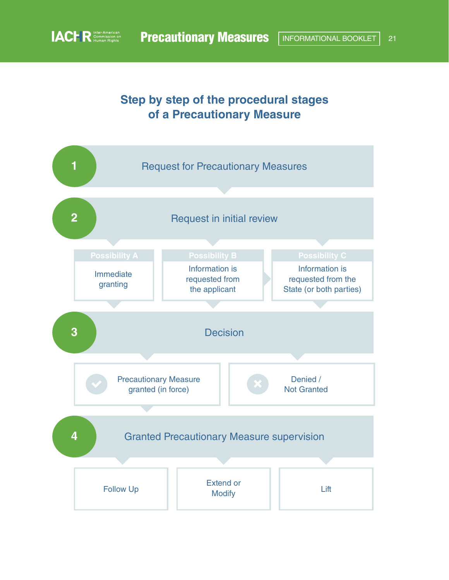## **Step by step of the procedural stages of a Precautionary Measure**

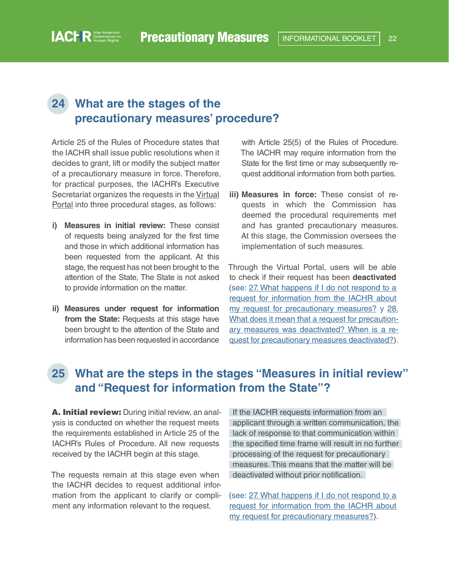## <span id="page-21-0"></span>**24 What are the stages of the precautionary measures' procedure?**

Article 25 of the Rules of Procedure states that the IACHR shall issue public resolutions when it decides to grant, lift or modify the subject matter of a precautionary measure in force. Therefore, for practical purposes, the IACHR's Executive Secretariat organizes the requests in the [Virtual](https://www.oas.org/en/iachr/portal/)  [Portal](https://www.oas.org/en/iachr/portal/) into three procedural stages, as follows:

- **i) Measures in initial review:** These consist of requests being analyzed for the first time and those in which additional information has been requested from the applicant. At this stage, the request has not been brought to the attention of the State, The State is not asked to provide information on the matter.
- **ii) Measures under request for information**  from the State: Requests at this stage have been brought to the attention of the State and information has been requested in accordance

with Article 25(5) of the Rules of Procedure. The IACHR may require information from the State for the first time or may subsequently request additional information from both parties.

**iii) Measures in force:** These consist of requests in which the Commission has deemed the procedural requirements met and has granted precautionary measures. At this stage, the Commission oversees the implementation of such measures.

Through the Virtual Portal, users will be able to check if their request has been **deactivated** (see: [27. What happens if I do not respond to a](#page-23-0)  [request for information from the IACHR about](#page-23-0)  [my request for precautionary measures?](#page-23-0) y [28.](#page-23-0)  [What does it mean that a request for precaution](#page-23-0)[ary measures was deactivated? When is a re](#page-23-0)[quest for precautionary measures deactivated?\)](#page-23-0).

## **25 What are the steps in the stages "Measures in initial review" and "Request for information from the State"?**

A. Initial review: During initial review, an analysis is conducted on whether the request meets the requirements established in Article 25 of the IACHR's Rules of Procedure. All new requests received by the IACHR begin at this stage.

The requests remain at this stage even when the IACHR decides to request additional information from the applicant to clarify or compliment any information relevant to the request.

If the IACHR requests information from an applicant through a written communication, the lack of response to that communication within the specified time frame will result in no further processing of the request for precautionary measures. This means that the matter will be deactivated without prior notification.

(see: [27. What happens if I do not respond to a](#page-23-0)  [request for information from the IACHR about](#page-23-0)  [my request for precautionary measures?](#page-23-0)).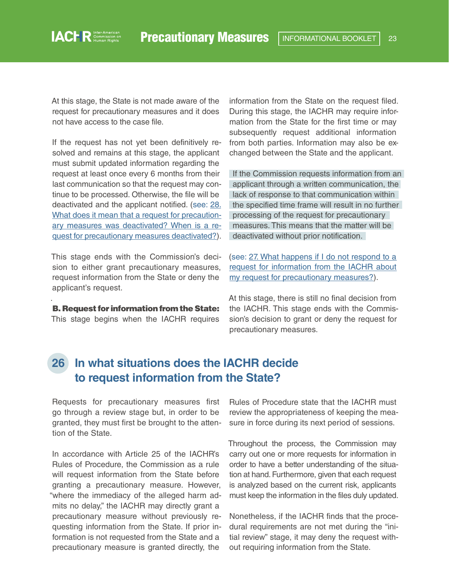<span id="page-22-0"></span>At this stage, the State is not made aware of the request for precautionary measures and it does not have access to the case file.

If the request has not yet been definitively resolved and remains at this stage, the applicant must submit updated information regarding the request at least once every 6 months from their last communication so that the request may continue to be processed. Otherwise, the file will be deactivated and the applicant notified. (see: [28.](#page-23-0) [What does it mean that a request for precaution](#page-23-0)[ary measures was deactivated? When is a re](#page-23-0)[quest for precautionary measures deactivated?](#page-23-0)).

This stage ends with the Commission's decision to either grant precautionary measures, request information from the State or deny the applicant's request.

B. Request for information from the State: This stage begins when the IACHR requires

.

information from the State on the request filed. During this stage, the IACHR may require information from the State for the first time or may subsequently request additional information from both parties. Information may also be exchanged between the State and the applicant.

If the Commission requests information from an applicant through a written communication, the lack of response to that communication within the specified time frame will result in no further processing of the request for precautionary measures. This means that the matter will be deactivated without prior notification.

(see: [27. What happens if I do not respond to a](#page-23-0)  [request for information from the IACHR about](#page-23-0)  [my request for precautionary measures?](#page-23-0)).

At this stage, there is still no final decision from the IACHR. This stage ends with the Commission's decision to grant or deny the request for precautionary measures.

#### **26 In what situations does the IACHR decide to request information from the State?**

Requests for precautionary measures first go through a review stage but, in order to be granted, they must first be brought to the attention of the State.

In accordance with Article 25 of the IACHR's Rules of Procedure, the Commission as a rule will request information from the State before granting a precautionary measure. However, "where the immediacy of the alleged harm admits no delay," the IACHR may directly grant a precautionary measure without previously requesting information from the State. If prior information is not requested from the State and a precautionary measure is granted directly, the

Rules of Procedure state that the IACHR must review the appropriateness of keeping the measure in force during its next period of sessions.

Throughout the process, the Commission may carry out one or more requests for information in order to have a better understanding of the situation at hand. Furthermore, given that each request is analyzed based on the current risk, applicants must keep the information in the files duly updated.

Nonetheless, if the IACHR finds that the procedural requirements are not met during the "initial review" stage, it may deny the request without requiring information from the State.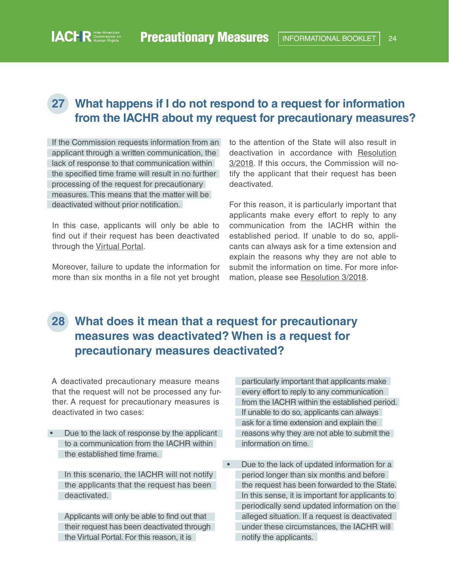## <span id="page-23-0"></span>**27 What happens if I do not respond to a request for information from the IACHR about my request for precautionary measures?**

If the Commission requests information from an applicant through a written communication, the lack of response to that communication within the specified time frame will result in no further processing of the request for precautionary measures. This means that the matter will be deactivated without prior notification.

In this case, applicants will only be able to find out if their request has been deactivated through the [Virtual Portal](https://www.oas.org/en/iachr/portal/).

Moreover, failure to update the information for more than six months in a file not yet brought to the attention of the State will also result in deactivation in accordance with [Resolution](https://www.oas.org/en/iachr/decisions/pdf/Resolution-3-18-en.pdf)  [3/2018.](https://www.oas.org/en/iachr/decisions/pdf/Resolution-3-18-en.pdf) If this occurs, the Commission will notify the applicant that their request has been deactivated.

For this reason, it is particularly important that applicants make every effort to reply to any communication from the IACHR within the established period. If unable to do so, applicants can always ask for a time extension and explain the reasons why they are not able to submit the information on time. For more information, please see [Resolution 3/2018](https://www.oas.org/en/iachr/decisions/pdf/Resolution-3-18-en.pdf).

# **28 What does it mean that a request for precautionary measures was deactivated? When is a request for precautionary measures deactivated?**

A deactivated precautionary measure means that the request will not be processed any further. A request for precautionary measures is deactivated in two cases:

• Due to the lack of response by the applicant to a communication from the IACHR within the established time frame.

In this scenario, the IACHR will not notify the applicants that the request has been deactivated.

Applicants will only be able to find out that their request has been deactivated through the Virtual Portal. For this reason, it is

particularly important that applicants make every effort to reply to any communication from the IACHR within the established period. If unable to do so, applicants can always ask for a time extension and explain the reasons why they are not able to submit the information on time.

• Due to the lack of updated information for a period longer than six months and before the request has been forwarded to the State. In this sense, it is important for applicants to periodically send updated information on the alleged situation. If a request is deactivated under these circumstances, the IACHR will notify the applicants.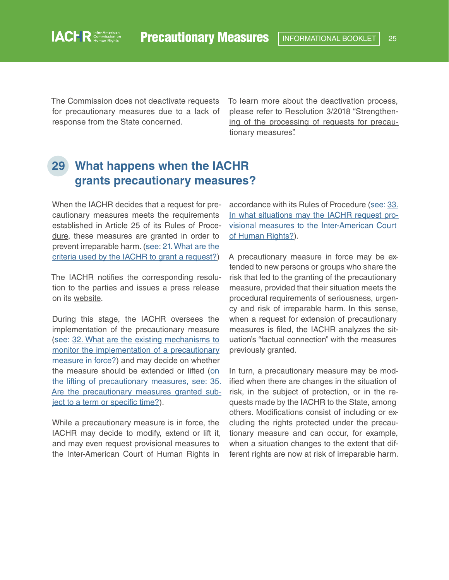The Commission does not deactivate requests for precautionary measures due to a lack of response from the State concerned.

<span id="page-24-0"></span>**IACHR** Commission on

To learn more about the deactivation process, please refer to [Resolution 3/2018 "Strengthen](https://www.oas.org/en/iachr/decisions/pdf/Resolution-3-18-en.pdf)[ing of the processing of requests for precau](https://www.oas.org/en/iachr/decisions/pdf/Resolution-3-18-en.pdf)[tionary measures".](https://www.oas.org/en/iachr/decisions/pdf/Resolution-3-18-en.pdf)

# **29 What happens when the IACHR grants precautionary measures?**

When the IACHR decides that a request for precautionary measures meets the requirements established in Article 25 of its [Rules of Proce](https://www.oas.org/en/iachr/mandate/Basics/rulesiachr.asp)[dure,](https://www.oas.org/en/iachr/mandate/Basics/rulesiachr.asp) these measures are granted in order to prevent irreparable harm. (see: [21.](#page-16-0) What are the criteria used by the IACHR to grant a request?)

The IACHR notifies the corresponding resolution to the parties and issues a press release on its [webs](https://www.oas.org/en/iachr/decisions/precautionary.asp)ite.

During this stage, the IACHR oversees the implementation of the precautionary measure (see: [32. What are the existing mechanisms to](#page-26-0)  [monitor the implementation of a precautionary](#page-26-0)  [measure in force?\)](#page-26-0) and may decide on whether the measure should be extended or lifted (on the lifting of precautionary measures, see: [35.](#page-29-0) [Are the precautionary measures granted sub](#page-29-0)[ject to a term or specific time?](#page-29-0)).

While a precautionary measure is in force, the IACHR may decide to modify, extend or lift it, and may even request provisional measures to the Inter-American Court of Human Rights in

accordance with its Rules of Procedure (see: 33. [In what situations may the IACHR request pro](#page-28-0)[visional measures to the Inter-American Court](#page-28-0)  [of Human Rights?\)](#page-28-0).

A precautionary measure in force may be extended to new persons or groups who share the risk that led to the granting of the precautionary measure, provided that their situation meets the procedural requirements of seriousness, urgency and risk of irreparable harm. In this sense, when a request for extension of precautionary measures is filed, the IACHR analyzes the situation's "factual connection" with the measures previously granted.

In turn, a precautionary measure may be modified when there are changes in the situation of risk, in the subject of protection, or in the requests made by the IACHR to the State, among others. Modifications consist of including or excluding the rights protected under the precautionary measure and can occur, for example, when a situation changes to the extent that different rights are now at risk of irreparable harm.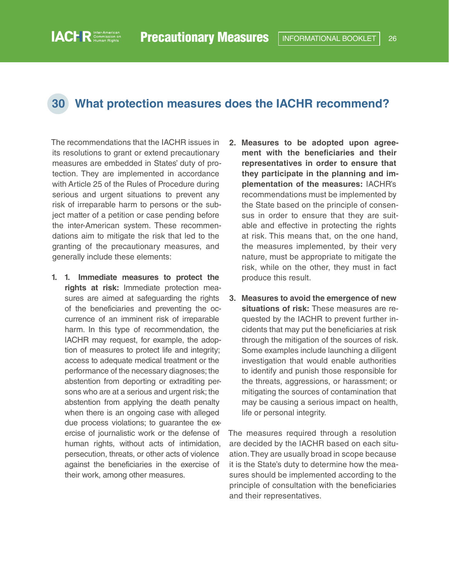#### <span id="page-25-0"></span>**30 What protection measures does the IACHR recommend?**

The recommendations that the IACHR issues in its resolutions to grant or extend precautionary measures are embedded in States' duty of protection. They are implemented in accordance with Article 25 of the Rules of Procedure during serious and urgent situations to prevent any risk of irreparable harm to persons or the subject matter of a petition or case pending before the inter-American system. These recommendations aim to mitigate the risk that led to the granting of the precautionary measures, and generally include these elements:

- **1. 1. Immediate measures to protect the rights at risk:** Immediate protection measures are aimed at safeguarding the rights of the beneficiaries and preventing the occurrence of an imminent risk of irreparable harm. In this type of recommendation, the IACHR may request, for example, the adoption of measures to protect life and integrity; access to adequate medical treatment or the performance of the necessary diagnoses; the abstention from deporting or extraditing persons who are at a serious and urgent risk; the abstention from applying the death penalty when there is an ongoing case with alleged due process violations; to guarantee the exercise of journalistic work or the defense of human rights, without acts of intimidation, persecution, threats, or other acts of violence against the beneficiaries in the exercise of their work, among other measures.
- **2. Measures to be adopted upon agreement with the beneficiaries and their representatives in order to ensure that they participate in the planning and implementation of the measures:** IACHR's recommendations must be implemented by the State based on the principle of consensus in order to ensure that they are suitable and effective in protecting the rights at risk. This means that, on the one hand, the measures implemented, by their very nature, must be appropriate to mitigate the risk, while on the other, they must in fact produce this result.
- **3. Measures to avoid the emergence of new situations of risk:** These measures are requested by the IACHR to prevent further incidents that may put the beneficiaries at risk through the mitigation of the sources of risk. Some examples include launching a diligent investigation that would enable authorities to identify and punish those responsible for the threats, aggressions, or harassment; or mitigating the sources of contamination that may be causing a serious impact on health, life or personal integrity.

The measures required through a resolution are decided by the IACHR based on each situation. They are usually broad in scope because it is the State's duty to determine how the measures should be implemented according to the principle of consultation with the beneficiaries and their representatives.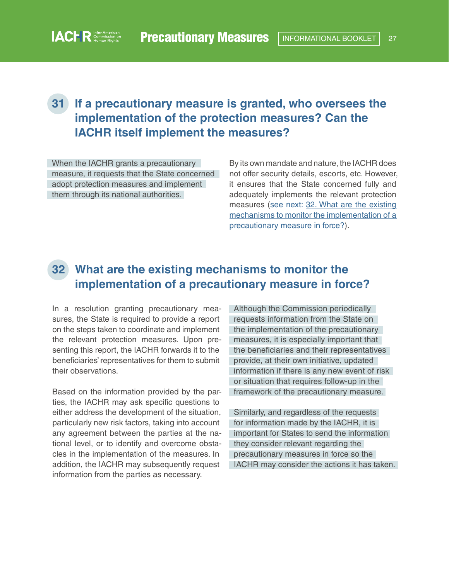## <span id="page-26-0"></span>**31 If a precautionary measure is granted, who oversees the implementation of the protection measures? Can the IACHR itself implement the measures?**

When the IACHR grants a precautionary measure, it requests that the State concerned adopt protection measures and implement them through its national authorities.

By its own mandate and nature, the IACHR does not offer security details, escorts, etc. However, it ensures that the State concerned fully and adequately implements the relevant protection measures (see next: 32. What are the existing mechanisms to monitor the implementation of a precautionary measure in force?).

#### **32 What are the existing mechanisms to monitor the implementation of a precautionary measure in force?**

In a resolution granting precautionary measures, the State is required to provide a report on the steps taken to coordinate and implement the relevant protection measures. Upon presenting this report, the IACHR forwards it to the beneficiaries' representatives for them to submit their observations.

Based on the information provided by the parties, the IACHR may ask specific questions to either address the development of the situation, particularly new risk factors, taking into account any agreement between the parties at the national level, or to identify and overcome obstacles in the implementation of the measures. In addition, the IACHR may subsequently request information from the parties as necessary.

Although the Commission periodically requests information from the State on the implementation of the precautionary measures, it is especially important that the beneficiaries and their representatives provide, at their own initiative, updated information if there is any new event of risk or situation that requires follow-up in the framework of the precautionary measure.

Similarly, and regardless of the requests for information made by the IACHR, it is important for States to send the information they consider relevant regarding the precautionary measures in force so the IACHR may consider the actions it has taken.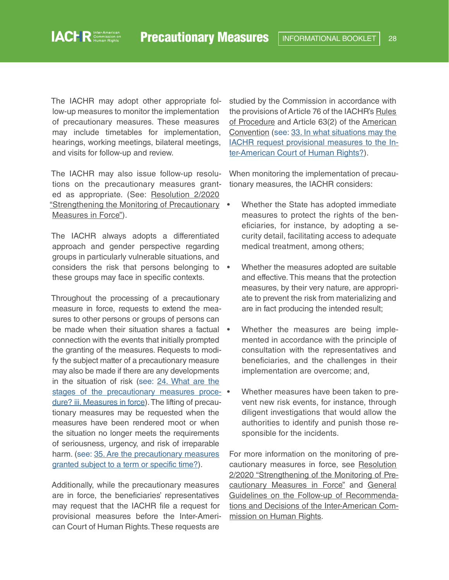The IACHR may adopt other appropriate follow-up measures to monitor the implementation of precautionary measures. These measures may include timetables for implementation, hearings, working meetings, bilateral meetings, and visits for follow-up and review.

The IACHR may also issue follow-up resolutions on the precautionary measures granted as appropriate. (See: [Resolution 2/2020](http://www.oas.org/en/iachr/decisions/pdf/Resolution-2-20-en.pdf)  ["Strengthening the Monitoring of Precautionary](http://www.oas.org/en/iachr/decisions/pdf/Resolution-2-20-en.pdf)  [Measures in Force"\)](http://www.oas.org/en/iachr/decisions/pdf/Resolution-2-20-en.pdf).

The IACHR always adopts a differentiated approach and gender perspective regarding groups in particularly vulnerable situations, and considers the risk that persons belonging to • these groups may face in specific contexts.

Throughout the processing of a precautionary measure in force, requests to extend the measures to other persons or groups of persons can be made when their situation shares a factual • connection with the events that initially prompted the granting of the measures. Requests to modify the subject matter of a precautionary measure may also be made if there are any developments in the situation of risk (see: [24. What are the](#page-21-0)  stages of the precautionary measures proce- • [dure? iii. Measures in force\)](#page-21-0). The lifting of precautionary measures may be requested when the measures have been rendered moot or when the situation no longer meets the requirements of seriousness, urgency, and risk of irreparable harm. (see: 35. Are the precautionary measures [granted subject to a term or specific time?\)](#page-29-0).

Additionally, while the precautionary measures are in force, the beneficiaries' representatives may request that the IACHR file a request for provisional measures before the Inter-American Court of Human Rights. These requests are

studied by the Commission in accordance with the provisions of Article 76 of the IACHR's [Rules](http://www.oas.org/en/iachr/mandate/Basics/rulesiachr.asp)  [of Procedure](http://www.oas.org/en/iachr/mandate/Basics/rulesiachr.asp) and Article 63(2) of the [American](https://www.cidh.oas.org/basicos/english/basic3.american convention.htm)  [Convention](https://www.cidh.oas.org/basicos/english/basic3.american convention.htm) (see: [33. In what situations may the](#page-28-0)  [IACHR request provisional measures to the In](#page-28-0)[ter-American Court of Human Rights?](#page-28-0)).

When monitoring the implementation of precautionary measures, the IACHR considers:

- Whether the State has adopted immediate measures to protect the rights of the beneficiaries, for instance, by adopting a security detail, facilitating access to adequate medical treatment, among others;
- Whether the measures adopted are suitable and effective. This means that the protection measures, by their very nature, are appropriate to prevent the risk from materializing and are in fact producing the intended result;
- Whether the measures are being implemented in accordance with the principle of consultation with the representatives and beneficiaries, and the challenges in their implementation are overcome; and,
- Whether measures have been taken to prevent new risk events, for instance, through diligent investigations that would allow the authorities to identify and punish those responsible for the incidents.

For more information on the monitoring of precautionary measures in force, see [Resolution](http://www.oas.org/en/iachr/decisions/pdf/Resolution-2-20-en.pdf)  [2/2020 "Strengthening of the Monitoring of Pre](http://www.oas.org/en/iachr/decisions/pdf/Resolution-2-20-en.pdf)[cautionary Measures in Force"](http://www.oas.org/en/iachr/decisions/pdf/Resolution-2-20-en.pdf) and [General](https://www.oas.org/en/iachr/activities/follow-up/Directrices-en.pdf)  [Guidelines on the Follow-up of Recommenda](https://www.oas.org/en/iachr/activities/follow-up/Directrices-en.pdf)[tions and Decisions of the Inter-American Com](https://www.oas.org/en/iachr/activities/follow-up/Directrices-en.pdf)[mission on Human Rights](https://www.oas.org/en/iachr/activities/follow-up/Directrices-en.pdf).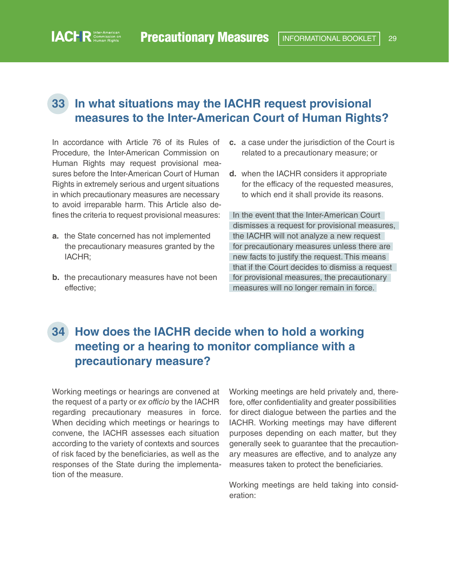#### <span id="page-28-0"></span>**33 In what situations may the IACHR request provisional measures to the Inter-American Court of Human Rights?**

In accordance with Article 76 of its Rules of Procedure, the Inter-American Commission on Human Rights may request provisional measures before the Inter-American Court of Human Rights in extremely serious and urgent situations in which precautionary measures are necessary to avoid irreparable harm. This Article also defines the criteria to request provisional measures:

- **a.** the State concerned has not implemented the precautionary measures granted by the IACHR;
- **b.** the precautionary measures have not been effective;
- **c.** a case under the jurisdiction of the Court is related to a precautionary measure; or
- **d.** when the IACHR considers it appropriate for the efficacy of the requested measures, to which end it shall provide its reasons.

In the event that the Inter-American Court dismisses a request for provisional measures, the IACHR will not analyze a new request for precautionary measures unless there are new facts to justify the request. This means that if the Court decides to dismiss a request for provisional measures, the precautionary measures will no longer remain in force.

# **34 How does the IACHR decide when to hold a working meeting or a hearing to monitor compliance with a precautionary measure?**

Working meetings or hearings are convened at the request of a party or *ex officio* by the IACHR regarding precautionary measures in force. When deciding which meetings or hearings to convene, the IACHR assesses each situation according to the variety of contexts and sources of risk faced by the beneficiaries, as well as the responses of the State during the implementation of the measure.

Working meetings are held privately and, therefore, offer confidentiality and greater possibilities for direct dialogue between the parties and the IACHR. Working meetings may have different purposes depending on each matter, but they generally seek to guarantee that the precautionary measures are effective, and to analyze any measures taken to protect the beneficiaries.

Working meetings are held taking into consideration: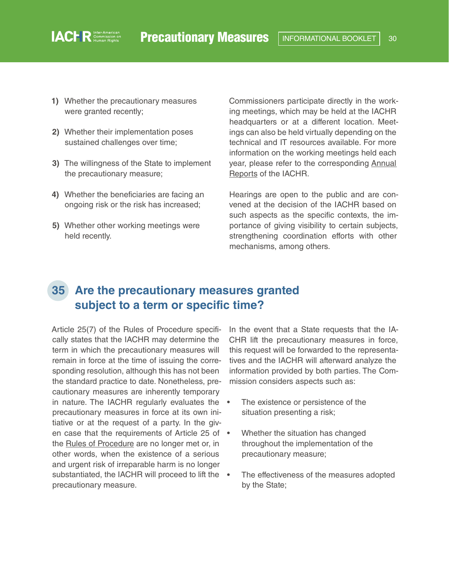**1)** Whether the precautionary measures were granted recently;

<span id="page-29-0"></span>**IACHR** Commission on

- **2)** Whether their implementation poses sustained challenges over time;
- **3)** The willingness of the State to implement the precautionary measure;
- **4)** Whether the beneficiaries are facing an ongoing risk or the risk has increased;
- **5)** Whether other working meetings were held recently.

Commissioners participate directly in the working meetings, which may be held at the IACHR headquarters or at a different location. Meetings can also be held virtually depending on the technical and IT resources available. For more information on the working meetings held each year, please refer to the corresponding [Annual](https://www.oas.org/en/iachr/reports/annual.asp)  [Reports](https://www.oas.org/en/iachr/reports/annual.asp) of the IACHR.

Hearings are open to the public and are convened at the decision of the IACHR based on such aspects as the specific contexts, the importance of giving visibility to certain subjects, strengthening coordination efforts with other mechanisms, among others.

### **35 Are the precautionary measures granted subject to a term or specific time?**

Article 25(7) of the Rules of Procedure specifically states that the IACHR may determine the term in which the precautionary measures will remain in force at the time of issuing the corresponding resolution, although this has not been the standard practice to date. Nonetheless, precautionary measures are inherently temporary in nature. The IACHR regularly evaluates the • precautionary measures in force at its own initiative or at the request of a party. In the given case that the requirements of Article 25 of • the [Rules of Procedure](http://www.oas.org/en/iachr/mandate/Basics/rulesiachr.asp) are no longer met or, in other words, when the existence of a serious and urgent risk of irreparable harm is no longer substantiated, the IACHR will proceed to lift the . precautionary measure.

In the event that a State requests that the IA-CHR lift the precautionary measures in force, this request will be forwarded to the representatives and the IACHR will afterward analyze the information provided by both parties. The Commission considers aspects such as:

- The existence or persistence of the situation presenting a risk;
- Whether the situation has changed throughout the implementation of the precautionary measure;
- The effectiveness of the measures adopted by the State;